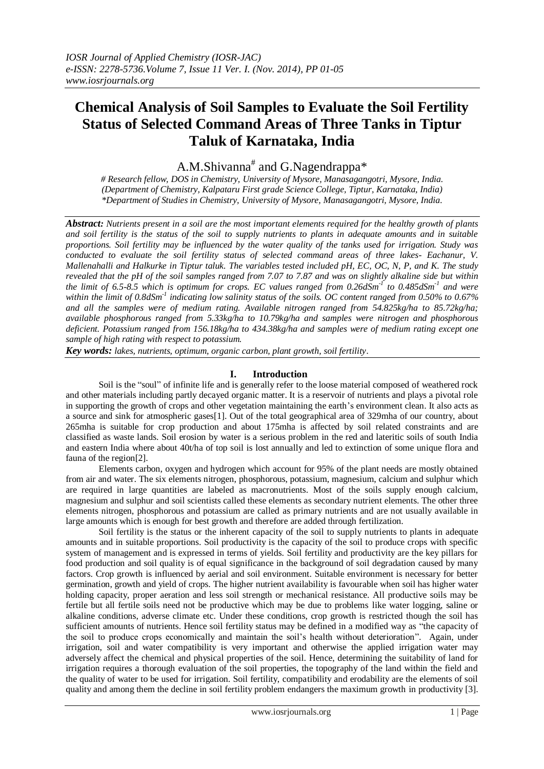# **Chemical Analysis of Soil Samples to Evaluate the Soil Fertility Status of Selected Command Areas of Three Tanks in Tiptur Taluk of Karnataka, India**

A.M.Shivanna<sup>#</sup> and G.Nagendrappa\*

*# Research fellow, DOS in Chemistry, University of Mysore, Manasagangotri, Mysore, India. (Department of Chemistry, Kalpataru First grade Science College, Tiptur, Karnataka, India) \*Department of Studies in Chemistry, University of Mysore, Manasagangotri, Mysore, India.*

*Abstract: Nutrients present in a soil are the most important elements required for the healthy growth of plants and soil fertility is the status of the soil to supply nutrients to plants in adequate amounts and in suitable proportions. Soil fertility may be influenced by the water quality of the tanks used for irrigation. Study was conducted to evaluate the soil fertility status of selected command areas of three lakes- Eachanur, V. Mallenahalli and Halkurke in Tiptur taluk. The variables tested included pH, EC, OC, N, P, and K. The study revealed that the pH of the soil samples ranged from 7.07 to 7.87 and was on slightly alkaline side but within the limit of 6.5-8.5 which is optimum for crops. EC values ranged from 0.26dSm-1 to 0.485dSm-1 and were within the limit of 0.8dSm-1 indicating low salinity status of the soils. OC content ranged from 0.50% to 0.67% and all the samples were of medium rating. Available nitrogen ranged from 54.825kg/ha to 85.72kg/ha; available phosphorous ranged from 5.33kg/ha to 10.79kg/ha and samples were nitrogen and phosphorous deficient. Potassium ranged from 156.18kg/ha to 434.38kg/ha and samples were of medium rating except one sample of high rating with respect to potassium.*

*Key words: lakes, nutrients, optimum, organic carbon, plant growth, soil fertility.*

# **I. Introduction**

Soil is the "soul" of infinite life and is generally refer to the loose material composed of weathered rock and other materials including partly decayed organic matter. It is a reservoir of nutrients and plays a pivotal role in supporting the growth of crops and other vegetation maintaining the earth's environment clean. It also acts as a source and sink for atmospheric gases[1]. Out of the total geographical area of 329mha of our country, about 265mha is suitable for crop production and about 175mha is affected by soil related constraints and are classified as waste lands. Soil erosion by water is a serious problem in the red and lateritic soils of south India and eastern India where about 40t/ha of top soil is lost annually and led to extinction of some unique flora and fauna of the region[2].

 Elements carbon, oxygen and hydrogen which account for 95% of the plant needs are mostly obtained from air and water. The six elements nitrogen, phosphorous, potassium, magnesium, calcium and sulphur which are required in large quantities are labeled as macronutrients. Most of the soils supply enough calcium, magnesium and sulphur and soil scientists called these elements as secondary nutrient elements. The other three elements nitrogen, phosphorous and potassium are called as primary nutrients and are not usually available in large amounts which is enough for best growth and therefore are added through fertilization.

 Soil fertility is the status or the inherent capacity of the soil to supply nutrients to plants in adequate amounts and in suitable proportions. Soil productivity is the capacity of the soil to produce crops with specific system of management and is expressed in terms of yields. Soil fertility and productivity are the key pillars for food production and soil quality is of equal significance in the background of soil degradation caused by many factors. Crop growth is influenced by aerial and soil environment. Suitable environment is necessary for better germination, growth and yield of crops. The higher nutrient availability is favourable when soil has higher water holding capacity, proper aeration and less soil strength or mechanical resistance. All productive soils may be fertile but all fertile soils need not be productive which may be due to problems like water logging, saline or alkaline conditions, adverse climate etc. Under these conditions, crop growth is restricted though the soil has sufficient amounts of nutrients. Hence soil fertility status may be defined in a modified way as "the capacity of the soil to produce crops economically and maintain the soil's health without deterioration". Again, under irrigation, soil and water compatibility is very important and otherwise the applied irrigation water may adversely affect the chemical and physical properties of the soil. Hence, determining the suitability of land for irrigation requires a thorough evaluation of the soil properties, the topography of the land within the field and the quality of water to be used for irrigation. Soil fertility, compatibility and erodability are the elements of soil quality and among them the decline in soil fertility problem endangers the maximum growth in productivity [3].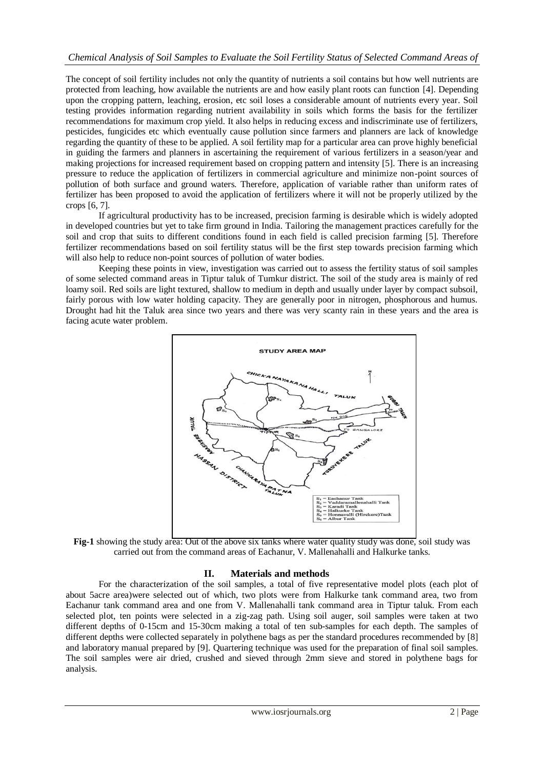The concept of soil fertility includes not only the quantity of nutrients a soil contains but how well nutrients are protected from leaching, how available the nutrients are and how easily plant roots can function [4]. Depending upon the cropping pattern, leaching, erosion, etc soil loses a considerable amount of nutrients every year. Soil testing provides information regarding nutrient availability in soils which forms the basis for the fertilizer recommendations for maximum crop yield. It also helps in reducing excess and indiscriminate use of fertilizers, pesticides, fungicides etc which eventually cause pollution since farmers and planners are lack of knowledge regarding the quantity of these to be applied. A soil fertility map for a particular area can prove highly beneficial in guiding the farmers and planners in ascertaining the requirement of various fertilizers in a season/year and making projections for increased requirement based on cropping pattern and intensity [5]. There is an increasing pressure to reduce the application of fertilizers in commercial agriculture and minimize non-point sources of pollution of both surface and ground waters. Therefore, application of variable rather than uniform rates of fertilizer has been proposed to avoid the application of fertilizers where it will not be properly utilized by the crops [6, 7].

 If agricultural productivity has to be increased, precision farming is desirable which is widely adopted in developed countries but yet to take firm ground in India. Tailoring the management practices carefully for the soil and crop that suits to different conditions found in each field is called precision farming [5]. Therefore fertilizer recommendations based on soil fertility status will be the first step towards precision farming which will also help to reduce non-point sources of pollution of water bodies.

 Keeping these points in view, investigation was carried out to assess the fertility status of soil samples of some selected command areas in Tiptur taluk of Tumkur district. The soil of the study area is mainly of red loamy soil. Red soils are light textured, shallow to medium in depth and usually under layer by compact subsoil, fairly porous with low water holding capacity. They are generally poor in nitrogen, phosphorous and humus. Drought had hit the Taluk area since two years and there was very scanty rain in these years and the area is facing acute water problem.



**Fig-1** showing the study area: Out of the above six tanks where water quality study was done, soil study was carried out from the command areas of Eachanur, V. Mallenahalli and Halkurke tanks.

## **II. Materials and methods**

For the characterization of the soil samples, a total of five representative model plots (each plot of about 5acre area)were selected out of which, two plots were from Halkurke tank command area, two from Eachanur tank command area and one from V. Mallenahalli tank command area in Tiptur taluk. From each selected plot, ten points were selected in a zig-zag path. Using soil auger, soil samples were taken at two different depths of 0-15cm and 15-30cm making a total of ten sub-samples for each depth. The samples of different depths were collected separately in polythene bags as per the standard procedures recommended by [8] and laboratory manual prepared by [9]. Quartering technique was used for the preparation of final soil samples. The soil samples were air dried, crushed and sieved through 2mm sieve and stored in polythene bags for analysis.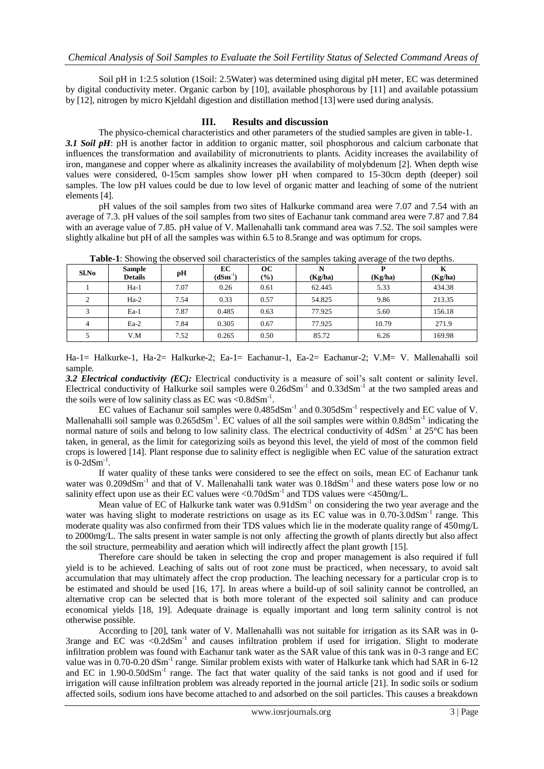Soil pH in 1:2.5 solution (1Soil: 2.5Water) was determined using digital pH meter, EC was determined by digital conductivity meter. Organic carbon by [10], available phosphorous by [11] and available potassium by [12], nitrogen by micro Kjeldahl digestion and distillation method [13] were used during analysis.

### **III. Results and discussion**

The physico-chemical characteristics and other parameters of the studied samples are given in table-1. *3.1 Soil pH*: pH is another factor in addition to organic matter, soil phosphorous and calcium carbonate that influences the transformation and availability of micronutrients to plants. Acidity increases the availability of iron, manganese and copper where as alkalinity increases the availability of molybdenum [2]. When depth wise values were considered, 0-15cm samples show lower pH when compared to 15-30cm depth (deeper) soil samples. The low pH values could be due to low level of organic matter and leaching of some of the nutrient elements [4].

 pH values of the soil samples from two sites of Halkurke command area were 7.07 and 7.54 with an average of 7.3. pH values of the soil samples from two sites of Eachanur tank command area were 7.87 and 7.84 with an average value of 7.85. pH value of V. Mallenahalli tank command area was 7.52. The soil samples were slightly alkaline but pH of all the samples was within 6.5 to 8.5range and was optimum for crops.

| $Sl$ . No      | <b>Sample</b><br><b>Details</b> | pH   | EC<br>$(dSm^{-1})$ | <b>OC</b><br>$\frac{6}{6}$ | N<br>(Kg/ha) | (Kg/ha) | K<br>(Kg/ha) |
|----------------|---------------------------------|------|--------------------|----------------------------|--------------|---------|--------------|
|                | $Ha-1$                          | 7.07 | 0.26               | 0.61                       | 62.445       | 5.33    | 434.38       |
| 2              | $Ha-2$                          | 7.54 | 0.33               | 0.57                       | 54.825       | 9.86    | 213.35       |
|                | $Ea-1$                          | 7.87 | 0.485              | 0.63                       | 77.925       | 5.60    | 156.18       |
| $\overline{4}$ | $Ea-2$                          | 7.84 | 0.305              | 0.67                       | 77.925       | 10.79   | 271.9        |
|                | V.M                             | 7.52 | 0.265              | 0.50                       | 85.72        | 6.26    | 169.98       |

**Table-1**: Showing the observed soil characteristics of the samples taking average of the two depths.

Ha-1= Halkurke-1, Ha-2= Halkurke-2; Ea-1= Eachanur-1, Ea-2= Eachanur-2; V.M= V. Mallenahalli soil sample.

*3.2 Electrical conductivity (EC):* Electrical conductivity is a measure of soil's salt content or salinity level. Electrical conductivity of Halkurke soil samples were  $0.26$ d $Sm^{-1}$  and  $0.33$ d $Sm^{-1}$  at the two sampled areas and the soils were of low salinity class as EC was < $0.8dSm^{-1}$ .

EC values of Eachanur soil samples were  $0.485dSm^{-1}$  and  $0.305dSm^{-1}$  respectively and EC value of V. Mallenahalli soil sample was  $0.265$ d $Sm<sup>-1</sup>$ . EC values of all the soil samples were within  $0.8$ d $Sm<sup>-1</sup>$  indicating the normal nature of soils and belong to low salinity class. The electrical conductivity of 4dSm<sup>-1</sup> at 25°C has been taken, in general, as the limit for categorizing soils as beyond this level, the yield of most of the common field crops is lowered [14]. Plant response due to salinity effect is negligible when EC value of the saturation extract is  $0$ -2dSm<sup>-1</sup>.

 If water quality of these tanks were considered to see the effect on soils, mean EC of Eachanur tank water was 0.209dSm<sup>-1</sup> and that of V. Mallenahalli tank water was 0.18dSm<sup>-1</sup> and these waters pose low or no salinity effect upon use as their EC values were  $\langle 0.70 \text{dS} \text{m}^{-1}$  and TDS values were  $\langle 450 \text{mg/L}}$ .

Mean value of EC of Halkurke tank water was 0.91dSm<sup>-1</sup> on considering the two year average and the water was having slight to moderate restrictions on usage as its EC value was in 0.70-3.0dSm<sup>-1</sup> range. This moderate quality was also confirmed from their TDS values which lie in the moderate quality range of 450mg/L to 2000mg/L. The salts present in water sample is not only affecting the growth of plants directly but also affect the soil structure, permeability and aeration which will indirectly affect the plant growth [15].

 Therefore care should be taken in selecting the crop and proper management is also required if full yield is to be achieved. Leaching of salts out of root zone must be practiced, when necessary, to avoid salt accumulation that may ultimately affect the crop production. The leaching necessary for a particular crop is to be estimated and should be used [16, 17]. In areas where a build-up of soil salinity cannot be controlled, an alternative crop can be selected that is both more tolerant of the expected soil salinity and can produce economical yields [18, 19]. Adequate drainage is equally important and long term salinity control is not otherwise possible.

 According to [20], tank water of V. Mallenahalli was not suitable for irrigation as its SAR was in 0- 3range and EC was  $\leq 0.2d$ Sm<sup>-1</sup> and causes infiltration problem if used for irrigation. Slight to moderate infiltration problem was found with Eachanur tank water as the SAR value of this tank was in 0-3 range and EC value was in 0.70-0.20 dSm<sup>-1</sup> range. Similar problem exists with water of Halkurke tank which had SAR in 6-12 and EC in 1.90-0.50dSm<sup>-1</sup> range. The fact that water quality of the said tanks is not good and if used for irrigation will cause infiltration problem was already reported in the journal article [21]. In sodic soils or sodium affected soils, sodium ions have become attached to and adsorbed on the soil particles. This causes a breakdown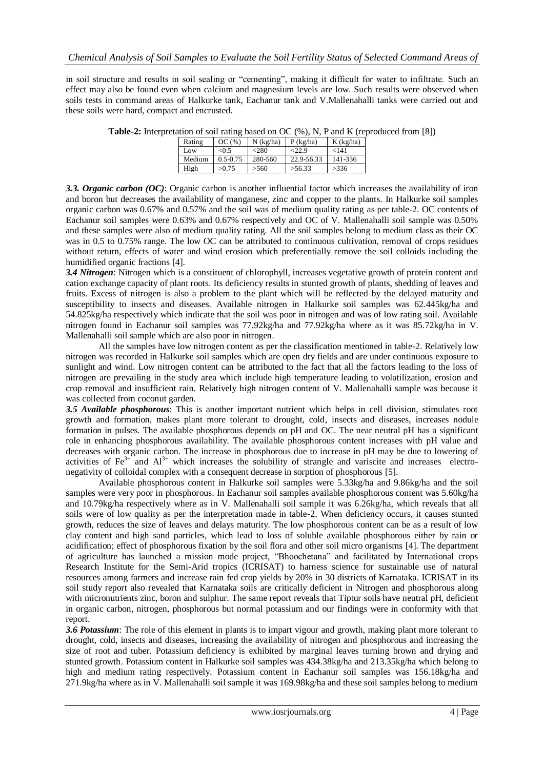in soil structure and results in soil sealing or "cementing", making it difficult for water to infiltrate. Such an effect may also be found even when calcium and magnesium levels are low. Such results were observed when soils tests in command areas of Halkurke tank, Eachanur tank and V.Mallenahalli tanks were carried out and these soils were hard, compact and encrusted.

| Rating | OC(%         | $N$ (kg/ha) | $P$ (kg/ha) | $K$ (kg/ha) |  |  |  |  |
|--------|--------------|-------------|-------------|-------------|--|--|--|--|
| Low    | < 0.5        | <280        | $-22.9$     | <141        |  |  |  |  |
| Medium | $0.5 - 0.75$ | 280-560     | 22.9-56.33  | 141-336     |  |  |  |  |
| High   | >0.75        | >560        | >56.33      | >336        |  |  |  |  |

**Table-2:** Interpretation of soil rating based on OC (%), N, P and K (reproduced from [8])

*3.3. Organic carbon (OC)*: Organic carbon is another influential factor which increases the availability of iron and boron but decreases the availability of manganese, zinc and copper to the plants. In Halkurke soil samples organic carbon was 0.67% and 0.57% and the soil was of medium quality rating as per table-2. OC contents of Eachanur soil samples were 0.63% and 0.67% respectively and OC of V. Mallenahalli soil sample was 0.50% and these samples were also of medium quality rating. All the soil samples belong to medium class as their OC was in 0.5 to 0.75% range. The low OC can be attributed to continuous cultivation, removal of crops residues without return, effects of water and wind erosion which preferentially remove the soil colloids including the humidified organic fractions [4].

*3.4 Nitrogen*: Nitrogen which is a constituent of chlorophyll, increases vegetative growth of protein content and cation exchange capacity of plant roots. Its deficiency results in stunted growth of plants, shedding of leaves and fruits. Excess of nitrogen is also a problem to the plant which will be reflected by the delayed maturity and susceptibility to insects and diseases. Available nitrogen in Halkurke soil samples was 62.445kg/ha and 54.825kg/ha respectively which indicate that the soil was poor in nitrogen and was of low rating soil. Available nitrogen found in Eachanur soil samples was 77.92kg/ha and 77.92kg/ha where as it was 85.72kg/ha in V. Mallenahalli soil sample which are also poor in nitrogen.

 All the samples have low nitrogen content as per the classification mentioned in table-2. Relatively low nitrogen was recorded in Halkurke soil samples which are open dry fields and are under continuous exposure to sunlight and wind. Low nitrogen content can be attributed to the fact that all the factors leading to the loss of nitrogen are prevailing in the study area which include high temperature leading to volatilization, erosion and crop removal and insufficient rain. Relatively high nitrogen content of V. Mallenahalli sample was because it was collected from coconut garden.

*3.5 Available phosphorous*: This is another important nutrient which helps in cell division, stimulates root growth and formation, makes plant more tolerant to drought, cold, insects and diseases, increases nodule formation in pulses. The available phosphorous depends on pH and OC. The near neutral pH has a significant role in enhancing phosphorous availability. The available phosphorous content increases with pH value and decreases with organic carbon. The increase in phosphorous due to increase in pH may be due to lowering of activities of  $Fe<sup>3+</sup>$  and  $Al<sup>3+</sup>$  which increases the solubility of strangle and variscite and increases electronegativity of colloidal complex with a consequent decrease in sorption of phosphorous [5].

 Available phosphorous content in Halkurke soil samples were 5.33kg/ha and 9.86kg/ha and the soil samples were very poor in phosphorous. In Eachanur soil samples available phosphorous content was 5.60kg/ha and 10.79kg/ha respectively where as in V. Mallenahalli soil sample it was 6.26kg/ha, which reveals that all soils were of low quality as per the interpretation made in table-2. When deficiency occurs, it causes stunted growth, reduces the size of leaves and delays maturity. The low phosphorous content can be as a result of low clay content and high sand particles, which lead to loss of soluble available phosphorous either by rain or acidification; effect of phosphorous fixation by the soil flora and other soil micro organisms [4]. The department of agriculture has launched a mission mode project, "Bhoochetana" and facilitated by International crops Research Institute for the Semi-Arid tropics (ICRISAT) to harness science for sustainable use of natural resources among farmers and increase rain fed crop yields by 20% in 30 districts of Karnataka. ICRISAT in its soil study report also revealed that Karnataka soils are critically deficient in Nitrogen and phosphorous along with micronutrients zinc, boron and sulphur. The same report reveals that Tiptur soils have neutral pH, deficient in organic carbon, nitrogen, phosphorous but normal potassium and our findings were in conformity with that report.

*3.6 Potassium*: The role of this element in plants is to impart vigour and growth, making plant more tolerant to drought, cold, insects and diseases, increasing the availability of nitrogen and phosphorous and increasing the size of root and tuber. Potassium deficiency is exhibited by marginal leaves turning brown and drying and stunted growth. Potassium content in Halkurke soil samples was 434.38kg/ha and 213.35kg/ha which belong to high and medium rating respectively. Potassium content in Eachanur soil samples was 156.18kg/ha and 271.9kg/ha where as in V. Mallenahalli soil sample it was 169.98kg/ha and these soil samples belong to medium